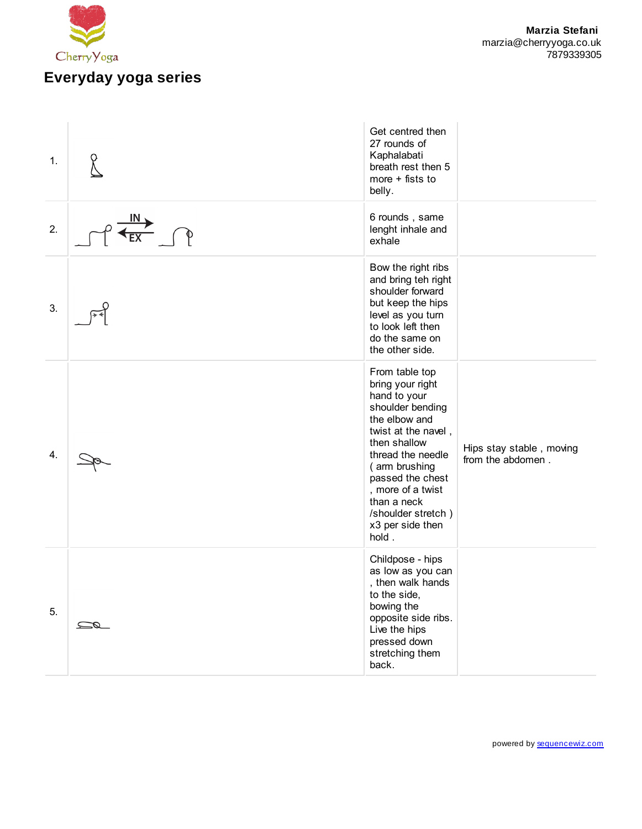

| 1. |               | Get centred then<br>27 rounds of<br>Kaphalabati<br>breath rest then 5<br>more $+$ fists to<br>belly.                                                                                                                                                                            |                                               |
|----|---------------|---------------------------------------------------------------------------------------------------------------------------------------------------------------------------------------------------------------------------------------------------------------------------------|-----------------------------------------------|
| 2. | IN :          | 6 rounds, same<br>lenght inhale and<br>exhale                                                                                                                                                                                                                                   |                                               |
| 3. |               | Bow the right ribs<br>and bring teh right<br>shoulder forward<br>but keep the hips<br>level as you turn<br>to look left then<br>do the same on<br>the other side.                                                                                                               |                                               |
| 4. |               | From table top<br>bring your right<br>hand to your<br>shoulder bending<br>the elbow and<br>twist at the navel,<br>then shallow<br>thread the needle<br>(arm brushing<br>passed the chest<br>, more of a twist<br>than a neck<br>/shoulder stretch)<br>x3 per side then<br>hold. | Hips stay stable, moving<br>from the abdomen. |
| 5. | $\mathscr{Q}$ | Childpose - hips<br>as low as you can<br>, then walk hands<br>to the side,<br>bowing the<br>opposite side ribs.<br>Live the hips<br>pressed down<br>stretching them<br>back.                                                                                                    |                                               |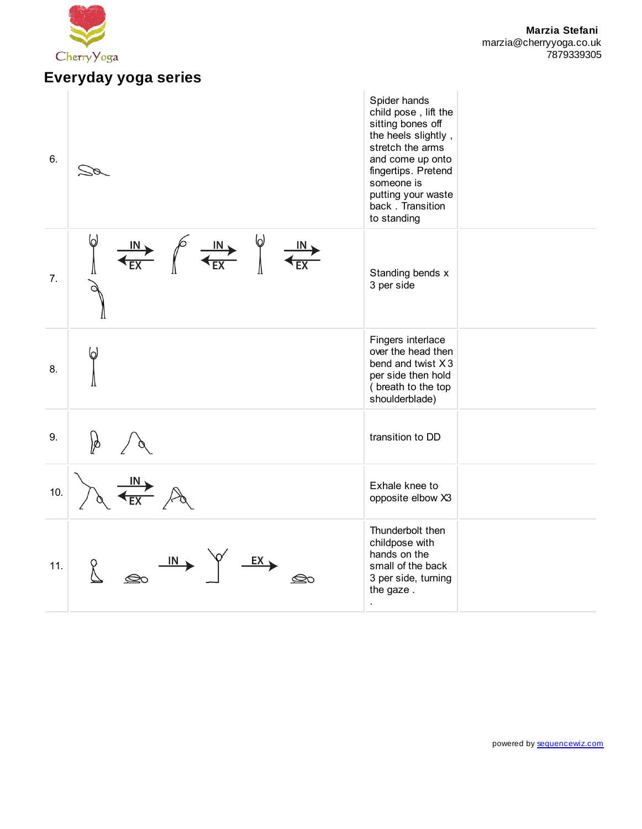

## **Everyday yoga series**

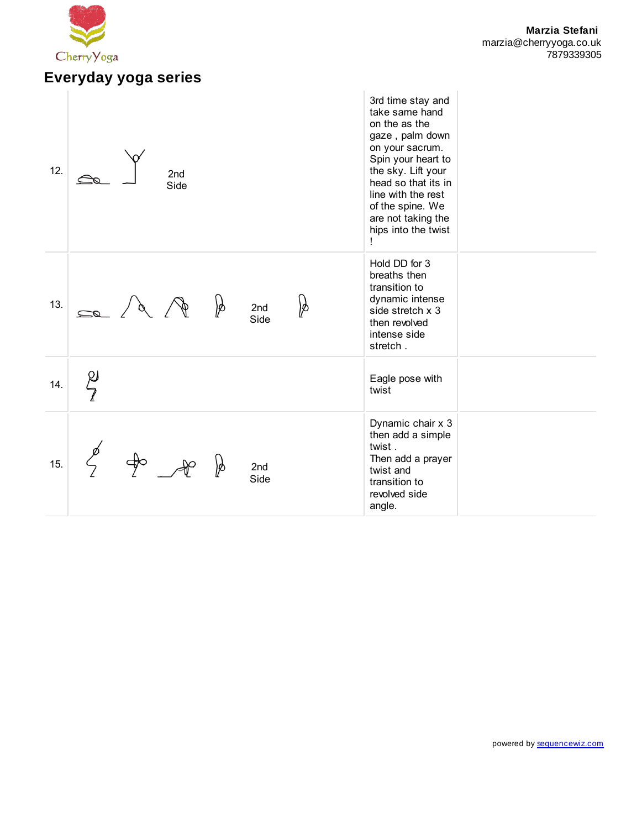

## **Everyday yoga series**